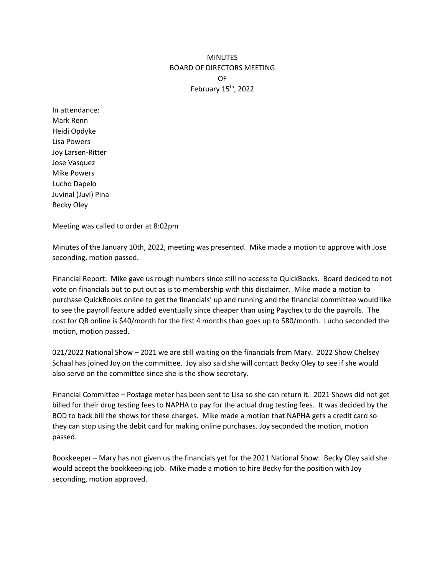## **MINUTES** BOARD OF DIRECTORS MEETING OF February 15th, 2022

In attendance: Mark Renn Heidi Opdyke Lisa Powers Joy Larsen-Ritter Jose Vasquez Mike Powers Lucho Dapelo Juvinal (Juvi) Pina Becky Oley

Meeting was called to order at 8:02pm

Minutes of the January 10th, 2022, meeting was presented. Mike made a motion to approve with Jose seconding, motion passed.

Financial Report: Mike gave us rough numbers since still no access to QuickBooks. Board decided to not vote on financials but to put out as is to membership with this disclaimer. Mike made a motion to purchase QuickBooks online to get the financials' up and running and the financial committee would like to see the payroll feature added eventually since cheaper than using Paychex to do the payrolls. The cost for QB online is \$40/month for the first 4 months than goes up to \$80/month. Lucho seconded the motion, motion passed.

021/2022 National Show – 2021 we are still waiting on the financials from Mary. 2022 Show Chelsey Schaal has joined Joy on the committee. Joy also said she will contact Becky Oley to see if she would also serve on the committee since she is the show secretary.

Financial Committee – Postage meter has been sent to Lisa so she can return it. 2021 Shows did not get billed for their drug testing fees to NAPHA to pay for the actual drug testing fees. It was decided by the BOD to back bill the shows for these charges. Mike made a motion that NAPHA gets a credit card so they can stop using the debit card for making online purchases. Joy seconded the motion, motion passed.

Bookkeeper – Mary has not given us the financials yet for the 2021 National Show. Becky Oley said she would accept the bookkeeping job. Mike made a motion to hire Becky for the position with Joy seconding, motion approved.